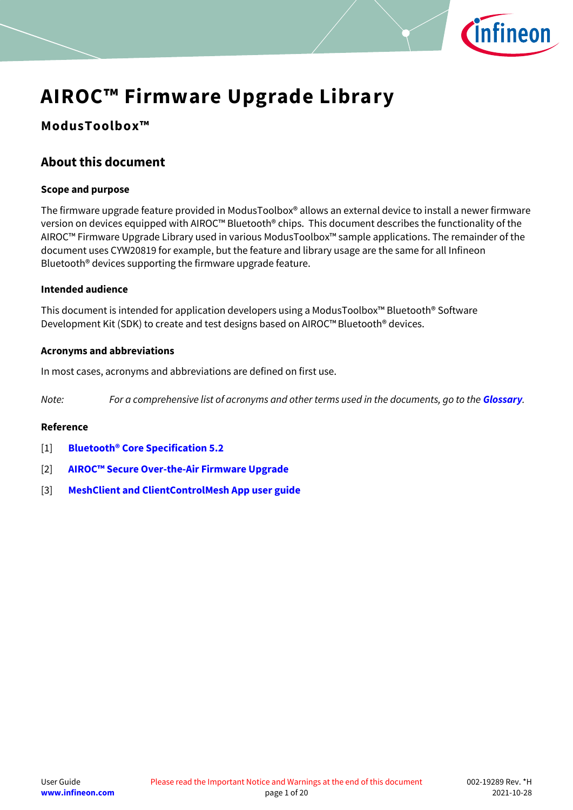

# **ModusToolbox™**

# <span id="page-0-0"></span>**About this document**

## **Scope and purpose**

The firmware upgrade feature provided in ModusToolbox® allows an external device to install a newer firmware version on devices equipped with AIROC™ Bluetooth® chips. This document describes the functionality of the AIROC™ Firmware Upgrade Library used in various ModusToolbox™ sample applications. The remainder of the document uses CYW20819 for example, but the feature and library usage are the same for all Infineon Bluetooth® devices supporting the firmware upgrade feature.

## **Intended audience**

This document is intended for application developers using a ModusToolbox™ Bluetooth® Software Development Kit (SDK) to create and test designs based on AIROC™ Bluetooth® devices.

## **Acronyms and abbreviations**

In most cases, acronyms and abbreviations are defined on first use.

*Note: For a comprehensive list of acronyms and other terms used in the documents, go to the [Glossary](http://www.cypress.com/glossary).*

## **Reference**

- <span id="page-0-1"></span>[1] **[Bluetooth® Core Specification 5.2](https://www.bluetooth.com/specifications/adopted-specifications)**
- <span id="page-0-2"></span>[2] **AIROC™ Secure Over[-the-Air Firmware Upgrade](https://cypresssemiconductorco.github.io/btsdk-docs/BT-SDK/index.html)**
- <span id="page-0-3"></span>[3] **[MeshClient and ClientControlMesh App user guide](https://cypresssemiconductorco.github.io/btsdk-docs/BT-SDK/index.html)**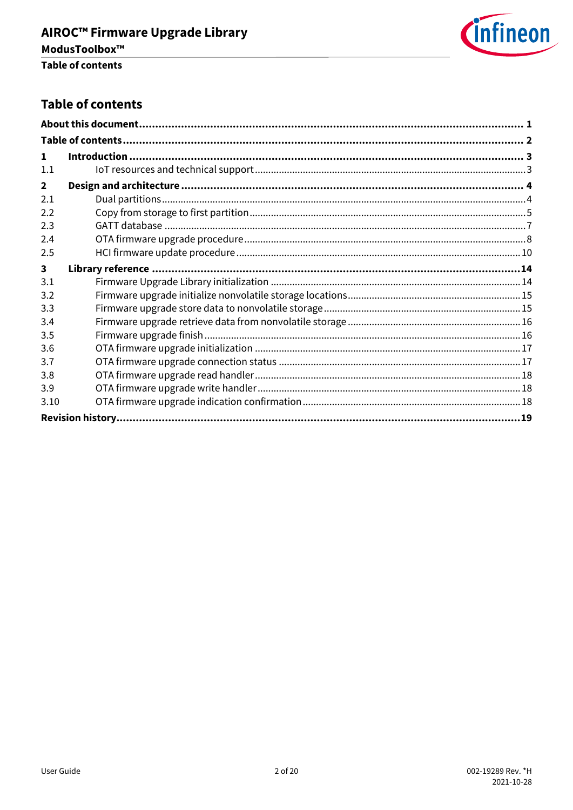

## <span id="page-1-0"></span>**Table of contents**

| 1                       |  |
|-------------------------|--|
| 1.1                     |  |
| $\mathbf{2}$            |  |
| 2.1                     |  |
| 2.2                     |  |
| 2.3                     |  |
| 2.4                     |  |
| 2.5                     |  |
| $\overline{\mathbf{3}}$ |  |
| 3.1                     |  |
| 3.2                     |  |
| 3.3                     |  |
| 3.4                     |  |
| 3.5                     |  |
| 3.6                     |  |
| 3.7                     |  |
| 3.8                     |  |
| 3.9                     |  |
| 3.10                    |  |
|                         |  |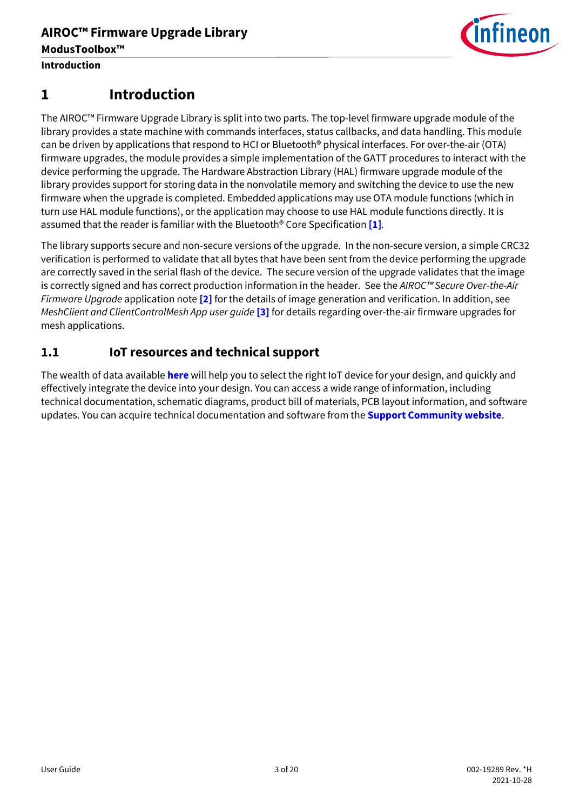

# <span id="page-2-0"></span>**1 Introduction**

The AIROC™ Firmware Upgrade Library is split into two parts. The top-level firmware upgrade module of the library provides a state machine with commands interfaces, status callbacks, and data handling. This module can be driven by applications that respond to HCI or Bluetooth® physical interfaces. For over-the-air (OTA) firmware upgrades, the module provides a simple implementation of the GATT procedures to interact with the device performing the upgrade. The Hardware Abstraction Library (HAL) firmware upgrade module of the library provides support for storing data in the nonvolatile memory and switching the device to use the new firmware when the upgrade is completed. Embedded applications may use OTA module functions (which in turn use HAL module functions), or the application may choose to use HAL module functions directly. It is assumed that the reader is familiar with the Bluetooth® Core Specification **[\[1\]](#page-0-1)***.*

The library supports secure and non-secure versions of the upgrade. In the non-secure version, a simple CRC32 verification is performed to validate that all bytes that have been sent from the device performing the upgrade are correctly saved in the serial flash of the device. The secure version of the upgrade validates that the image is correctly signed and has correct production information in the header. See the *AIROC™ Secure Over-the-Air Firmware Upgrade* application note **[\[2\]](#page-0-2)** for the details of image generation and verification. In addition, see *MeshClient and ClientControlMesh App user guide* **[\[3\]](#page-0-3)** for details regarding over-the-air firmware upgrades for mesh applications.

## <span id="page-2-1"></span>**1.1 IoT resources and technical support**

The wealth of data available **[here](http://www.cypress.com/internet-things-iot)** will help you to select the right IoT device for your design, and quickly and effectively integrate the device into your design. You can access a wide range of information, including technical documentation, schematic diagrams, product bill of materials, PCB layout information, and software updates. You can acquire technical documentation and software from the **[Support Community website](http://community.cypress.com/)**.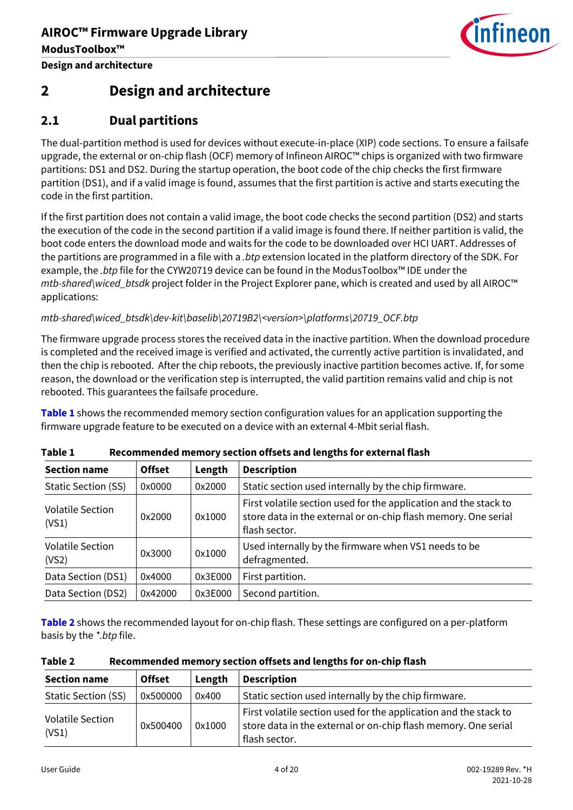

# <span id="page-3-0"></span>**2 Design and architecture**

## <span id="page-3-1"></span>**2.1 Dual partitions**

The dual-partition method is used for devices without execute-in-place (XIP) code sections. To ensure a failsafe upgrade, the external or on-chip flash (OCF) memory of Infineon AIROC™ chips is organized with two firmware partitions: DS1 and DS2. During the startup operation, the boot code of the chip checks the first firmware partition (DS1), and if a valid image is found, assumes that the first partition is active and starts executing the code in the first partition.

If the first partition does not contain a valid image, the boot code checks the second partition (DS2) and starts the execution of the code in the second partition if a valid image is found there. If neither partition is valid, the boot code enters the download mode and waits for the code to be downloaded over HCI UART. Addresses of the partitions are programmed in a file with a *.btp* extension located in the platform directory of the SDK. For example, the *.btp* file for the CYW20719 device can be found in the ModusToolbox™ IDE under the *mtb-shared\wiced\_btsdk* project folder in the Project Explorer pane, which is created and used by all AIROC™ applications:

*mtb-shared\wiced\_btsdk\dev-kit\baselib\20719B2\<version>\platforms\20719\_OCF.btp*

The firmware upgrade process stores the received data in the inactive partition. When the download procedure is completed and the received image is verified and activated, the currently active partition is invalidated, and then the chip is rebooted. After the chip reboots, the previously inactive partition becomes active. If, for some reason, the download or the verification step is interrupted, the valid partition remains valid and chip is not rebooted. This guarantees the failsafe procedure.

**[Table 1](#page-3-2)** shows the recommended memory section configuration values for an application supporting the firmware upgrade feature to be executed on a device with an external 4-Mbit serial flash.

| <b>Section name</b>              | <b>Offset</b> | Length  | <b>Description</b>                                                                                                                                  |
|----------------------------------|---------------|---------|-----------------------------------------------------------------------------------------------------------------------------------------------------|
| <b>Static Section (SS)</b>       | 0x0000        | 0x2000  | Static section used internally by the chip firmware.                                                                                                |
| <b>Volatile Section</b><br>(VS1) | 0x2000        | 0x1000  | First volatile section used for the application and the stack to<br>store data in the external or on-chip flash memory. One serial<br>flash sector. |
| Volatile Section<br>(VS2)        | 0x3000        | 0x1000  | Used internally by the firmware when VS1 needs to be<br>defragmented.                                                                               |
| Data Section (DS1)               | 0x4000        | 0x3E000 | First partition.                                                                                                                                    |
| Data Section (DS2)               | 0x42000       | 0x3E000 | Second partition.                                                                                                                                   |

<span id="page-3-2"></span>

| Table 1 |  | Recommended memory section offsets and lengths for external flash |
|---------|--|-------------------------------------------------------------------|
|         |  |                                                                   |

**[Table 2](#page-3-3)** shows the recommended layout for on-chip flash. These settings are configured on a per-platform basis by the *\*.btp* file.

<span id="page-3-3"></span>

| Table 2 | Recommended memory section offsets and lengths for on-chip flash |
|---------|------------------------------------------------------------------|
|---------|------------------------------------------------------------------|

| <b>Section name</b>              | <b>Offset</b> | Length | <b>Description</b>                                                                                                                                  |
|----------------------------------|---------------|--------|-----------------------------------------------------------------------------------------------------------------------------------------------------|
| <b>Static Section (SS)</b>       | 0x500000      | 0x400  | Static section used internally by the chip firmware.                                                                                                |
| <b>Volatile Section</b><br>(VS1) | 0x500400      | 0x1000 | First volatile section used for the application and the stack to<br>store data in the external or on-chip flash memory. One serial<br>flash sector. |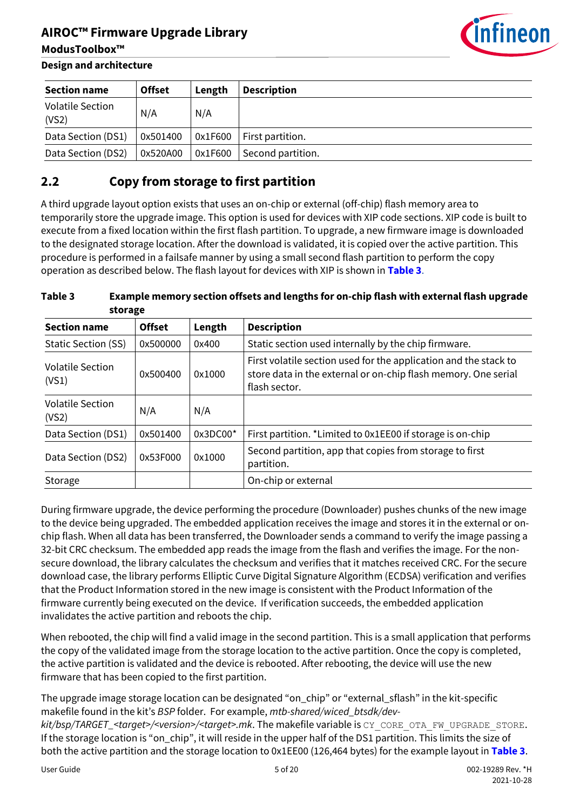

**ModusToolbox™**

| <b>Section name</b>              | <b>Offset</b> | Length  | <b>Description</b> |
|----------------------------------|---------------|---------|--------------------|
| <b>Volatile Section</b><br>(VS2) | N/A           | N/A     |                    |
| Data Section (DS1)               | 0x501400      | 0x1F600 | First partition.   |
| Data Section (DS2)               | 0x520A00      | 0x1F600 | Second partition.  |

## <span id="page-4-0"></span>**2.2 Copy from storage to first partition**

A third upgrade layout option exists that uses an on-chip or external (off-chip) flash memory area to temporarily store the upgrade image. This option is used for devices with XIP code sections. XIP code is built to execute from a fixed location within the first flash partition. To upgrade, a new firmware image is downloaded to the designated storage location. After the download is validated, it is copied over the active partition. This procedure is performed in a failsafe manner by using a small second flash partition to perform the copy operation as described below. The flash layout for devices with XIP is shown in **[Table 3](#page-4-1)**.

<span id="page-4-1"></span>**Table 3 Example memory section offsets and lengths for on-chip flash with external flash upgrade storage**

| <b>Section name</b>              | <b>Offset</b> | Length   | <b>Description</b>                                                                                                                                  |
|----------------------------------|---------------|----------|-----------------------------------------------------------------------------------------------------------------------------------------------------|
| <b>Static Section (SS)</b>       | 0x500000      | 0x400    | Static section used internally by the chip firmware.                                                                                                |
| <b>Volatile Section</b><br>(VS1) | 0x500400      | 0x1000   | First volatile section used for the application and the stack to<br>store data in the external or on-chip flash memory. One serial<br>flash sector. |
| <b>Volatile Section</b><br>(VS2) | N/A           | N/A      |                                                                                                                                                     |
| Data Section (DS1)               | 0x501400      | 0x3DC00* | First partition. *Limited to 0x1EE00 if storage is on-chip                                                                                          |
| Data Section (DS2)               | 0x53F000      | 0x1000   | Second partition, app that copies from storage to first<br>partition.                                                                               |
| Storage                          |               |          | On-chip or external                                                                                                                                 |

During firmware upgrade, the device performing the procedure (Downloader) pushes chunks of the new image to the device being upgraded. The embedded application receives the image and stores it in the external or onchip flash. When all data has been transferred, the Downloader sends a command to verify the image passing a 32-bit CRC checksum. The embedded app reads the image from the flash and verifies the image. For the nonsecure download, the library calculates the checksum and verifies that it matches received CRC. For the secure download case, the library performs Elliptic Curve Digital Signature Algorithm (ECDSA) verification and verifies that the Product Information stored in the new image is consistent with the Product Information of the firmware currently being executed on the device. If verification succeeds, the embedded application invalidates the active partition and reboots the chip.

When rebooted, the chip will find a valid image in the second partition. This is a small application that performs the copy of the validated image from the storage location to the active partition. Once the copy is completed, the active partition is validated and the device is rebooted. After rebooting, the device will use the new firmware that has been copied to the first partition.

The upgrade image storage location can be designated "on\_chip" or "external\_sflash" in the kit-specific makefile found in the kit's *BSP* folder. For example, *mtb-shared/wiced\_btsdk/dev-*

*kit/bsp/TARGET\_<target>/<version>/<target>.mk*. The makefile variable is CY\_CORE\_OTA\_FW\_UPGRADE\_STORE. If the storage location is "on\_chip", it will reside in the upper half of the DS1 partition. This limits the size of both the active partition and the storage location to 0x1EE00 (126,464 bytes) for the example layout in **[Table 3](#page-4-1)**.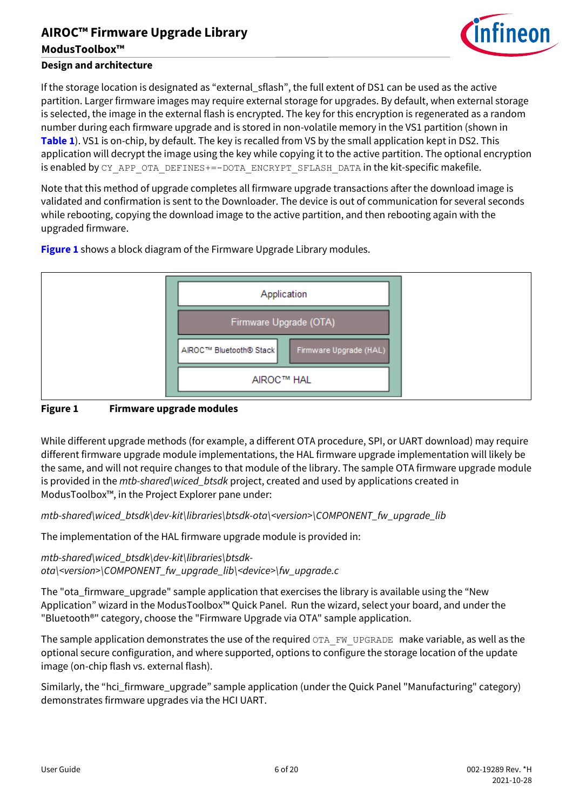

## **ModusToolbox™**

## **Design and architecture**

If the storage location is designated as "external\_sflash", the full extent of DS1 can be used as the active partition. Larger firmware images may require external storage for upgrades. By default, when external storage is selected, the image in the external flash is encrypted. The key for this encryption is regenerated as a random number during each firmware upgrade and is stored in non-volatile memory in the VS1 partition (shown in **[Table 1](#page-3-2)**). VS1 is on-chip, by default. The key is recalled from VS by the small application kept in DS2. This application will decrypt the image using the key while copying it to the active partition. The optional encryption is enabled by CY\_APP\_OTA\_DEFINES+=-DOTA\_ENCRYPT\_SFLASH\_DATA in the kit-specific makefile.

Note that this method of upgrade completes all firmware upgrade transactions after the download image is validated and confirmation is sent to the Downloader. The device is out of communication for several seconds while rebooting, copying the download image to the active partition, and then rebooting again with the upgraded firmware.



**[Figure 1](#page-5-0)** shows a block diagram of the Firmware Upgrade Library modules.

## <span id="page-5-0"></span>**Figure 1 Firmware upgrade modules**

While different upgrade methods (for example, a different OTA procedure, SPI, or UART download) may require different firmware upgrade module implementations, the HAL firmware upgrade implementation will likely be the same, and will not require changes to that module of the library. The sample OTA firmware upgrade module is provided in the *mtb-shared\wiced\_btsdk* project, created and used by applications created in ModusToolbox™, in the Project Explorer pane under:

*mtb-shared\wiced\_btsdk\dev-kit\libraries\btsdk-ota\<version>\COMPONENT\_fw\_upgrade\_lib*

The implementation of the HAL firmware upgrade module is provided in:

*mtb-shared\wiced\_btsdk\dev-kit\libraries\btsdkota\<version>\COMPONENT\_fw\_upgrade\_lib\<device>\fw\_upgrade.c*

The "ota\_firmware\_upgrade" sample application that exercises the library is available using the "New Application" wizard in the ModusToolbox™ Quick Panel. Run the wizard, select your board, and under the "Bluetooth®" category, choose the "Firmware Upgrade via OTA" sample application.

The sample application demonstrates the use of the required  $OTA$  FW\_UPGRADE make variable, as well as the optional secure configuration, and where supported, options to configure the storage location of the update image (on-chip flash vs. external flash).

Similarly, the "hci\_firmware\_upgrade" sample application (under the Quick Panel "Manufacturing" category) demonstrates firmware upgrades via the HCI UART.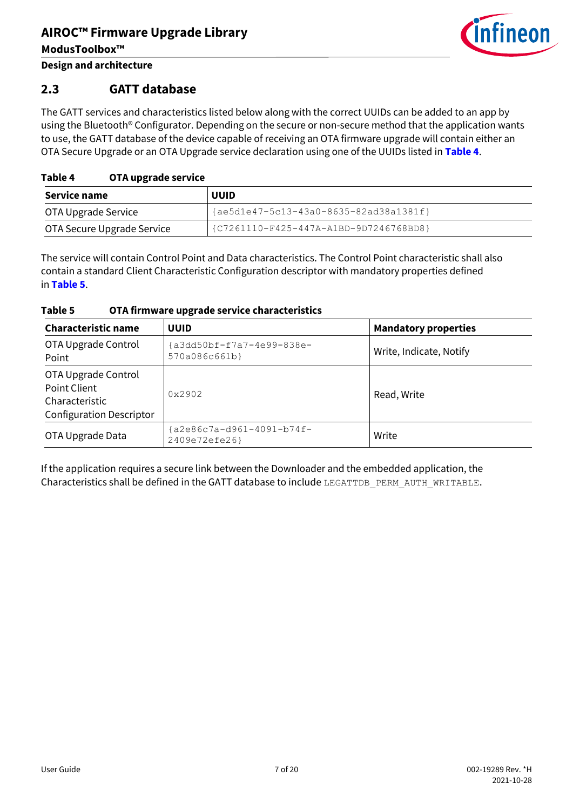

**Design and architecture**

## <span id="page-6-0"></span>**2.3 GATT database**

The GATT services and characteristics listed below along with the correct UUIDs can be added to an app by using the Bluetooth® Configurator. Depending on the secure or non-secure method that the application wants to use, the GATT database of the device capable of receiving an OTA firmware upgrade will contain either an OTA Secure Upgrade or an OTA Upgrade service declaration using one of the UUIDs listed in **[Table 4](#page-6-1)**.

## <span id="page-6-1"></span>**Table 4 OTA upgrade service**

| Service name               | <b>UUID</b>                              |
|----------------------------|------------------------------------------|
| OTA Upgrade Service        | ${ae5d1e47-5c13-43a0-8635-82ad38a1381f}$ |
| OTA Secure Upgrade Service | {C7261110-F425-447A-A1BD-9D7246768BD8}   |

The service will contain Control Point and Data characteristics. The Control Point characteristic shall also contain a standard Client Characteristic Configuration descriptor with mandatory properties defined in **[Table 5](#page-6-2)**.

<span id="page-6-2"></span>

| Table 5 | OTA firmware upgrade service characteristics |  |
|---------|----------------------------------------------|--|
|         |                                              |  |

| <b>Characteristic name</b>                                                               | <b>UUID</b>                                | <b>Mandatory properties</b> |
|------------------------------------------------------------------------------------------|--------------------------------------------|-----------------------------|
| OTA Upgrade Control<br>Point                                                             | a3dd50bf-f7a7-4e99-838e-<br>570a086c661b}  | Write, Indicate, Notify     |
| OTA Upgrade Control<br>Point Client<br>Characteristic<br><b>Configuration Descriptor</b> | 0x2902                                     | Read, Write                 |
| OTA Upgrade Data                                                                         | {a2e86c7a-d961-4091-b74f-<br>2409e72efe26} | Write                       |

If the application requires a secure link between the Downloader and the embedded application, the Characteristics shall be defined in the GATT database to include LEGATTDB PERM AUTH WRITABLE.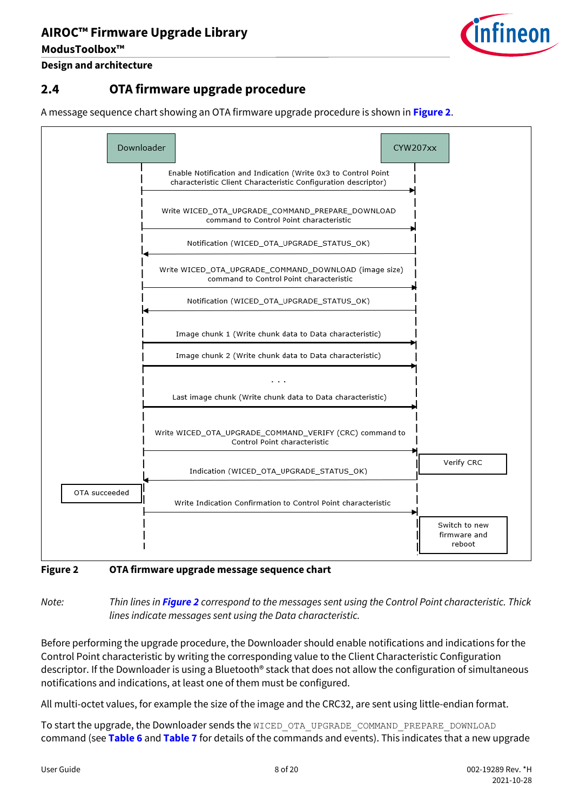

**Design and architecture**

**ModusToolbox™**

## <span id="page-7-0"></span>**2.4 OTA firmware upgrade procedure**

A message sequence chart showing an OTA firmware upgrade procedure is shown in **[Figure 2](#page-7-1)**.



<span id="page-7-1"></span>**Figure 2 OTA firmware upgrade message sequence chart**

*Note: Thin lines in [Figure 2](#page-7-1) correspond to the messages sent using the Control Point characteristic. Thick lines indicate messages sent using the Data characteristic.*

Before performing the upgrade procedure, the Downloader should enable notifications and indications for the Control Point characteristic by writing the corresponding value to the Client Characteristic Configuration descriptor. If the Downloader is using a Bluetooth® stack that does not allow the configuration of simultaneous notifications and indications, at least one of them must be configured.

All multi-octet values, for example the size of the image and the CRC32, are sent using little-endian format.

To start the upgrade, the Downloader sends the WICED OTA\_UPGRADE\_COMMAND\_PREPARE\_DOWNLOAD command (see **[Table 6](#page-8-0)** and **[Table 7](#page-8-1)** for details of the commands and events). This indicates that a new upgrade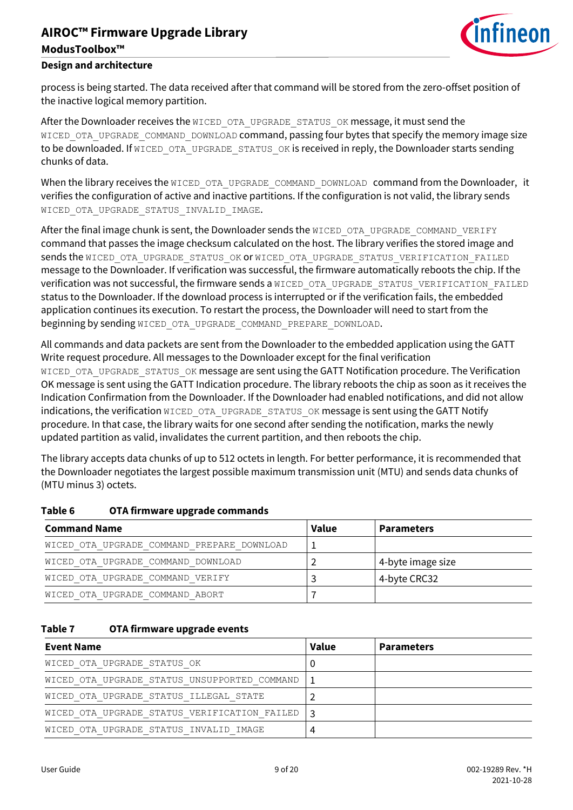# **AIROC™ Firmware Upgrade Library ModusToolbox™**



### **Design and architecture**

process is being started. The data received after that command will be stored from the zero-offset position of the inactive logical memory partition.

After the Downloader receives the WICED OTA UPGRADE STATUS OK message, it must send the WICED OTA UPGRADE COMMAND DOWNLOAD command, passing four bytes that specify the memory image size to be downloaded. If WICED OTA UPGRADE STATUS OK is received in reply, the Downloader starts sending chunks of data.

When the library receives the WICED OTA UPGRADE COMMAND DOWNLOAD command from the Downloader, it verifies the configuration of active and inactive partitions. If the configuration is not valid, the library sends WICED OTA UPGRADE STATUS INVALID IMAGE.

After the final image chunk is sent, the Downloader sends the WICED OTA UPGRADE COMMAND VERIFY command that passes the image checksum calculated on the host. The library verifies the stored image and sends the WICED OTA UPGRADE STATUS OK OR WICED OTA UPGRADE STATUS VERIFICATION FAILED message to the Downloader. If verification was successful, the firmware automatically reboots the chip. If the verification was not successful, the firmware sends a WICED\_OTA\_UPGRADE\_STATUS\_VERIFICATION\_FAILED status to the Downloader. If the download process is interrupted or if the verification fails, the embedded application continues its execution. To restart the process, the Downloader will need to start from the beginning by sending WICED OTA UPGRADE COMMAND PREPARE DOWNLOAD.

All commands and data packets are sent from the Downloader to the embedded application using the GATT Write request procedure. All messages to the Downloader except for the final verification WICED OTA UPGRADE STATUS OK message are sent using the GATT Notification procedure. The Verification OK message is sent using the GATT Indication procedure. The library reboots the chip as soon as it receives the Indication Confirmation from the Downloader. If the Downloader had enabled notifications, and did not allow indications, the verification WICED OTA UPGRADE STATUS OK message is sent using the GATT Notify procedure. In that case, the library waits for one second after sending the notification, marks the newly updated partition as valid, invalidates the current partition, and then reboots the chip.

The library accepts data chunks of up to 512 octets in length. For better performance, it is recommended that the Downloader negotiates the largest possible maximum transmission unit (MTU) and sends data chunks of (MTU minus 3) octets.

| <b>Command Name</b>                        | <b>Value</b> | <b>Parameters</b> |
|--------------------------------------------|--------------|-------------------|
| WICED OTA UPGRADE COMMAND PREPARE DOWNLOAD |              |                   |
| WICED OTA UPGRADE COMMAND DOWNLOAD         |              | 4-byte image size |
| WICED OTA UPGRADE COMMAND VERIFY           |              | 4-byte CRC32      |
| WICED OTA UPGRADE COMMAND ABORT            |              |                   |

#### <span id="page-8-0"></span>**Table 6 OTA firmware upgrade commands**

#### <span id="page-8-1"></span>**Table 7 OTA firmware upgrade events**

| <b>Event Name</b>                            | <b>Value</b> | <b>Parameters</b> |
|----------------------------------------------|--------------|-------------------|
| WICED OTA UPGRADE STATUS OK                  |              |                   |
| WICED OTA UPGRADE STATUS UNSUPPORTED COMMAND |              |                   |
| WICED OTA UPGRADE STATUS ILLEGAL STATE       |              |                   |
| WICED OTA UPGRADE STATUS VERIFICATION FAILED |              |                   |
| WICED OTA UPGRADE STATUS INVALID IMAGE       |              |                   |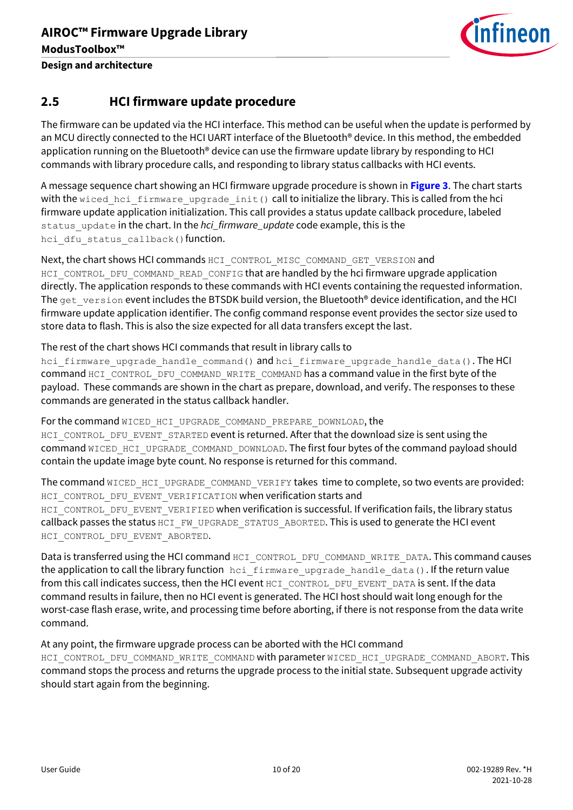

## <span id="page-9-0"></span>**2.5 HCI firmware update procedure**

The firmware can be updated via the HCI interface. This method can be useful when the update is performed by an MCU directly connected to the HCI UART interface of the Bluetooth® device. In this method, the embedded application running on the Bluetooth<sup>®</sup> device can use the firmware update library by responding to HCI commands with library procedure calls, and responding to library status callbacks with HCI events.

A message sequence chart showing an HCI firmware upgrade procedure is shown in **[Figure 3](#page-10-0)**. The chart starts with the wiced hci firmware upgrade init() call to initialize the library. This is called from the hci firmware update application initialization. This call provides a status update callback procedure, labeled status\_update in the chart. In the *hci\_firmware\_update* code example, this is the hci dfu status callback() function.

Next, the chart shows HCI commands HCI\_CONTROL\_MISC\_COMMAND\_GET\_VERSION and HCI\_CONTROL\_DFU\_COMMAND\_READ\_CONFIG that are handled by the hci firmware upgrade application directly. The application responds to these commands with HCI events containing the requested information. The get version event includes the BTSDK build version, the Bluetooth<sup>®</sup> device identification, and the HCI firmware update application identifier. The config command response event provides the sector size used to store data to flash. This is also the size expected for all data transfers except the last.

### The rest of the chart shows HCI commands that result in library calls to

hci firmware upgrade handle command() and hci firmware upgrade handle data(). The HCI command HCI\_CONTROL\_DFU\_COMMAND\_WRITE\_COMMAND has a command value in the first byte of the payload. These commands are shown in the chart as prepare, download, and verify. The responses to these commands are generated in the status callback handler.

For the command WICED HCI UPGRADE COMMAND PREPARE DOWNLOAD, the HCI\_CONTROL\_DFU\_EVENT\_STARTED event is returned. After that the download size is sent using the command WICED\_HCI\_UPGRADE\_COMMAND\_DOWNLOAD. The first four bytes of the command payload should contain the update image byte count. No response is returned for this command.

The command WICED\_HCI\_UPGRADE\_COMMAND\_VERIFY takes time to complete, so two events are provided: HCI\_CONTROL\_DFU\_EVENT\_VERIFICATION when verification starts and HCI\_CONTROL\_DFU\_EVENT\_VERIFIED when verification is successful. If verification fails, the library status callback passes the status HCI\_FW\_UPGRADE\_STATUS\_ABORTED. This is used to generate the HCI event HCI CONTROL DFU EVENT ABORTED.

Data is transferred using the HCI command HCI\_CONTROL\_DFU\_COMMAND\_WRITE\_DATA. This command causes the application to call the library function hei firmware upgrade handle data(). If the return value from this call indicates success, then the HCI event HCI\_CONTROL\_DFU\_EVENT\_DATA is sent. If the data command results in failure, then no HCI event is generated. The HCI host should wait long enough for the worst-case flash erase, write, and processing time before aborting, if there is not response from the data write command.

## At any point, the firmware upgrade process can be aborted with the HCI command

HCI CONTROL DFU COMMAND WRITE COMMAND with parameter WICED HCI UPGRADE COMMAND ABORT. This command stops the process and returns the upgrade process to the initial state. Subsequent upgrade activity should start again from the beginning.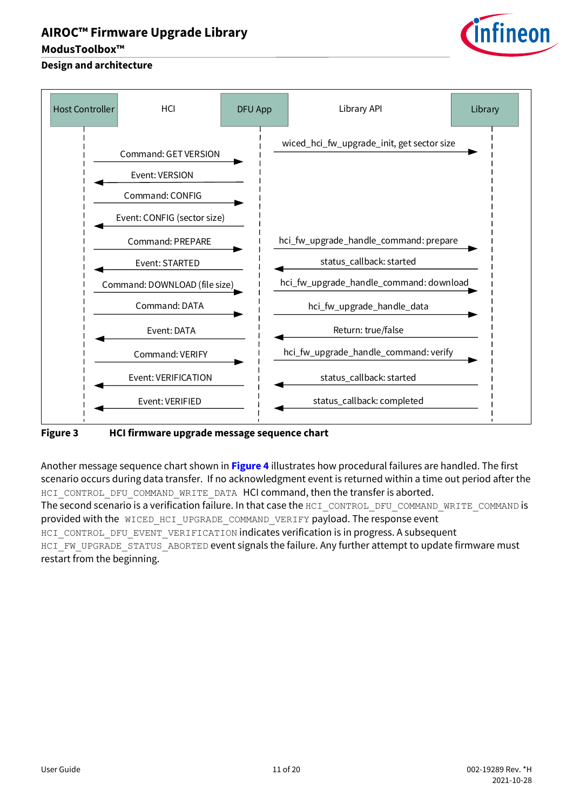## **ModusToolbox™**

# ineon

## **Design and architecture**



## <span id="page-10-0"></span>**Figure 3 HCI firmware upgrade message sequence chart**

Another message sequence chart shown in **[Figure 4](#page-11-0)** illustrates how procedural failures are handled. The first scenario occurs during data transfer. If no acknowledgment event is returned within a time out period after the HCI\_CONTROL\_DFU\_COMMAND\_WRITE\_DATA HCI command, then the transfer is aborted. The second scenario is a verification failure. In that case the HCI\_CONTROL\_DFU\_COMMAND\_WRITE\_COMMAND is provided with the WICED HCI UPGRADE COMMAND VERIFY payload. The response event HCI\_CONTROL\_DFU\_EVENT\_VERIFICATION indicates verification is in progress. A subsequent HCI\_FW\_UPGRADE\_STATUS\_ABORTED event signals the failure. Any further attempt to update firmware must restart from the beginning.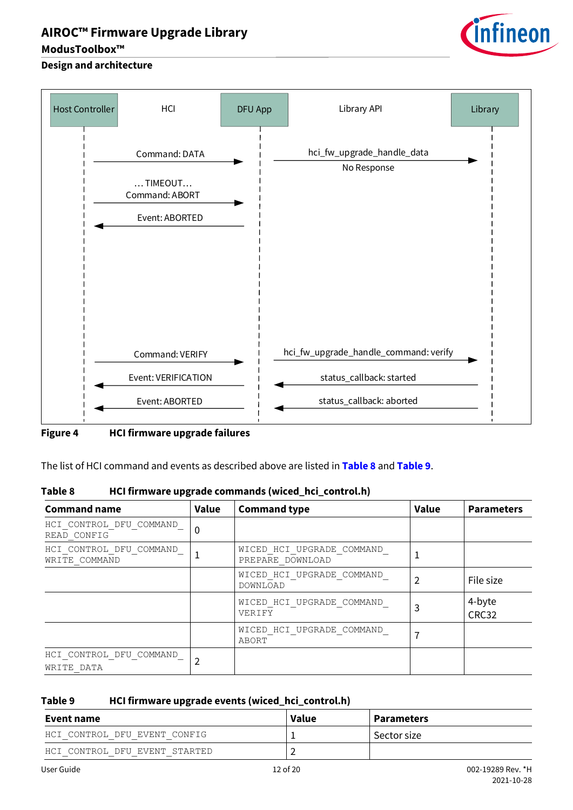## **ModusToolbox™**

# infineon

## **Design and architecture**



<span id="page-11-0"></span>**Figure 4 HCI firmware upgrade failures**

The list of HCI command and events as described above are listed in **[Table 8](#page-11-1)** and **[Table 9](#page-11-2)**.

<span id="page-11-1"></span>

| Table 8 | HCI firmware upgrade commands (wiced_hci_control.h) |
|---------|-----------------------------------------------------|
|---------|-----------------------------------------------------|

| <b>Command name</b>                      | Value    | <b>Command type</b>                           | <b>Value</b> | <b>Parameters</b> |
|------------------------------------------|----------|-----------------------------------------------|--------------|-------------------|
| HCI CONTROL DFU COMMAND<br>READ CONFIG   | $\Omega$ |                                               |              |                   |
| HCI CONTROL DFU COMMAND<br>WRITE COMMAND |          | WICED HCI UPGRADE COMMAND<br>PREPARE DOWNLOAD |              |                   |
|                                          |          | WICED HCI UPGRADE COMMAND<br>DOWNLOAD         |              | File size         |
|                                          |          | WICED HCI UPGRADE COMMAND<br>VERIFY           | 3            | 4-byte<br>CRC32   |
|                                          |          | WICED HCI UPGRADE COMMAND<br>ABORT            |              |                   |
| HCI CONTROL DFU COMMAND<br>WRITE DATA    |          |                                               |              |                   |

## <span id="page-11-2"></span>**Table 9 HCI firmware upgrade events (wiced\_hci\_control.h)**

| Event name                    | Value    | <b>Parameters</b> |  |
|-------------------------------|----------|-------------------|--|
| HCI CONTROL DFU EVENT CONFIG  |          | Sector size       |  |
| HCI CONTROL DFU EVENT STARTED |          |                   |  |
| User Guide                    | 12 of 20 | 002-19289 Rev. *H |  |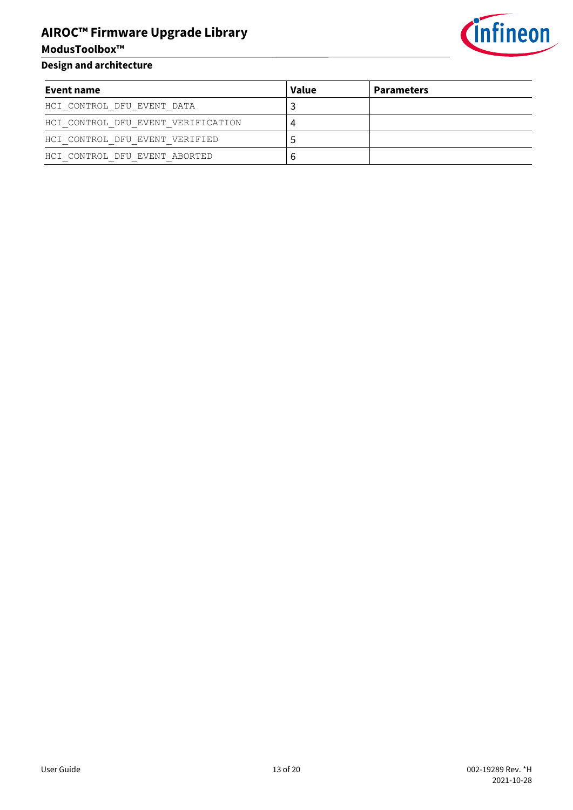

**Design and architecture**

**ModusToolbox™**

| Event name                         | <b>Value</b> | <b>Parameters</b> |
|------------------------------------|--------------|-------------------|
| HCI CONTROL DFU EVENT DATA         |              |                   |
| HCI CONTROL DFU EVENT VERIFICATION |              |                   |
| HCI CONTROL DFU EVENT VERIFIED     |              |                   |
| HCI CONTROL DFU EVENT ABORTED      |              |                   |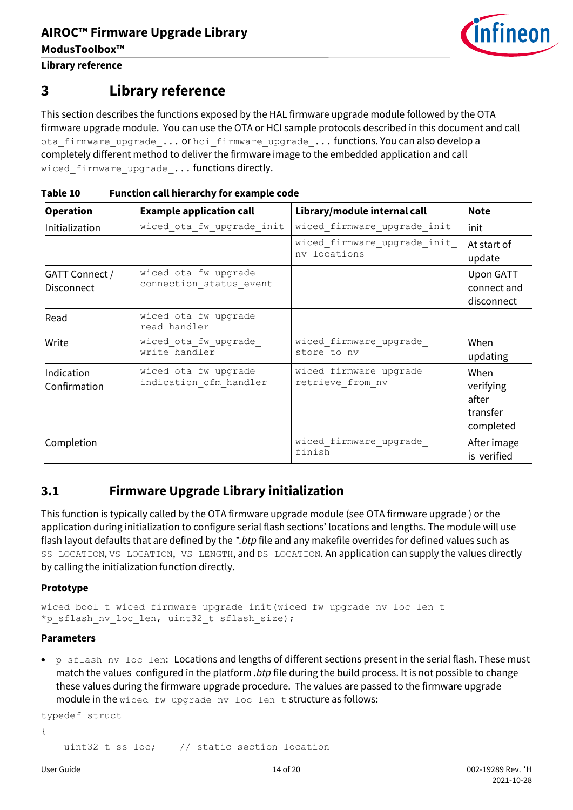

**Library reference**

## <span id="page-13-0"></span>**3 Library reference**

This section describes the functions exposed by the HAL firmware upgrade module followed by the OTA firmware upgrade module. You can use the OTA or HCI sample protocols described in this document and call ota\_firmware\_upgrade\_... or hci\_firmware\_upgrade\_... functions. You can also develop a completely different method to deliver the firmware image to the embedded application and call wiced firmware upgrade ... functions directly.

| <b>Operation</b>                    | <b>Example application call</b>                 | Library/module internal call                 | <b>Note</b>                                         |
|-------------------------------------|-------------------------------------------------|----------------------------------------------|-----------------------------------------------------|
| Initialization                      | wiced ota fw upgrade init                       | wiced firmware_upgrade_init                  | init                                                |
|                                     |                                                 | wiced firmware_upgrade_init_<br>nv locations | At start of<br>update                               |
| GATT Connect /<br><b>Disconnect</b> | wiced ota fw upgrade<br>connection status event |                                              | Upon GATT<br>connect and<br>disconnect              |
| Read                                | wiced ota fw upgrade<br>read handler            |                                              |                                                     |
| Write                               | wiced ota fw upgrade<br>write handler           | wiced firmware_upgrade_<br>store to nv       | When<br>updating                                    |
| Indication<br>Confirmation          | wiced ota fw upgrade<br>indication cfm handler  | wiced firmware upgrade<br>retrieve from nv   | When<br>verifying<br>after<br>transfer<br>completed |
| Completion                          |                                                 | wiced firmware upgrade<br>finish             | After image<br>is verified                          |

## **Table 10 Function call hierarchy for example code**

## <span id="page-13-1"></span>**3.1 Firmware Upgrade Library initialization**

This function is typically called by the OTA firmware upgrade module (see [OTA firmware upgrade \)](#page-16-0) or the application during initialization to configure serial flash sections' locations and lengths. The module will use flash layout defaults that are defined by the *\*.btp* file and any makefile overrides for defined values such as SS\_LOCATION, VS\_LOCATION, VS\_LENGTH, and DS\_LOCATION. An application can supply the values directly by calling the initialization function directly.

## **Prototype**

wiced bool t wiced firmware upgrade init(wiced fw upgrade nv loc len t \*p\_sflash\_nv\_loc\_len, uint32 t\_sflash\_size);

## **Parameters**

• p\_sflash\_nv\_loc\_len: Locations and lengths of different sections present in the serial flash. These must match the values configured in the platform *.btp* file during the build process. It is not possible to change these values during the firmware upgrade procedure. The values are passed to the firmware upgrade module in the wiced fw upgrade nv loc len t structure as follows:

```
typedef struct
{
```

```
uint32 t ss loc; // static section location
```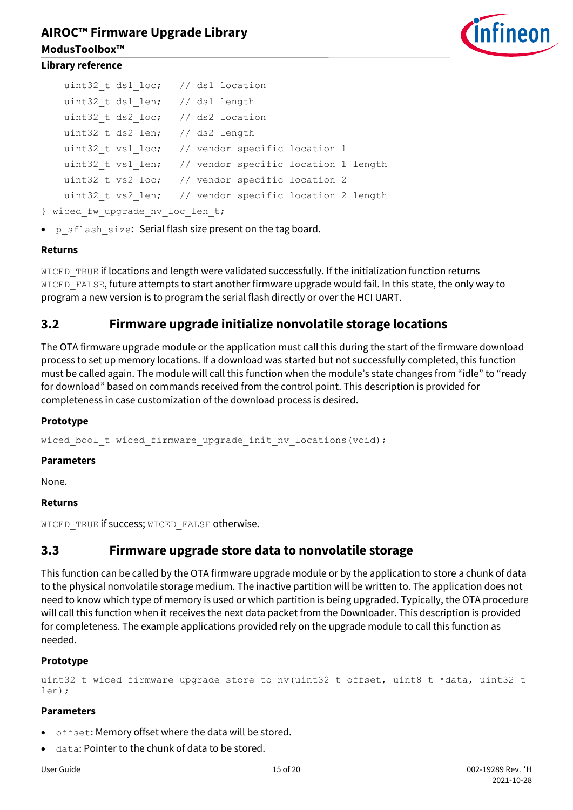

```
uint32 t ds1 loc; // ds1 location
uint32 t ds1 len; // ds1 length
uint32 t ds2 loc; // ds2 location
uint32 t ds2 len; // ds2 length
uint32 t vs1 loc; // vendor specific location 1
uint32 t vs1 len; // vendor specific location 1 length
uint32 t vs2 loc; // vendor specific location 2
uint32 t vs2 len; // vendor specific location 2 length
```

```
} wiced fw upgrade nv loc len t;
```
• p sflash size: Serial flash size present on the tag board.

### **Returns**

WICED TRUE if locations and length were validated successfully. If the initialization function returns WICED\_FALSE, future attempts to start another firmware upgrade would fail. In this state, the only way to program a new version is to program the serial flash directly or over the HCI UART.

## <span id="page-14-0"></span>**3.2 Firmware upgrade initialize nonvolatile storage locations**

The OTA firmware upgrade module or the application must call this during the start of the firmware download process to set up memory locations. If a download was started but not successfully completed, this function must be called again. The module will call this function when the module's state changes from "idle" to "ready for download" based on commands received from the control point. This description is provided for completeness in case customization of the download process is desired.

#### **Prototype**

wiced bool t wiced firmware upgrade init nv locations(void);

#### **Parameters**

None.

#### **Returns**

WICED TRUE if success; WICED FALSE otherwise.

## <span id="page-14-1"></span>**3.3 Firmware upgrade store data to nonvolatile storage**

This function can be called by the OTA firmware upgrade module or by the application to store a chunk of data to the physical nonvolatile storage medium. The inactive partition will be written to. The application does not need to know which type of memory is used or which partition is being upgraded. Typically, the OTA procedure will call this function when it receives the next data packet from the Downloader. This description is provided for completeness. The example applications provided rely on the upgrade module to call this function as needed.

## **Prototype**

```
uint32 t wiced firmware upgrade store to nv(uint32 t offset, uint8 t *data, uint32 t
len);
```
## **Parameters**

- offset: Memory offset where the data will be stored.
- data: Pointer to the chunk of data to be stored.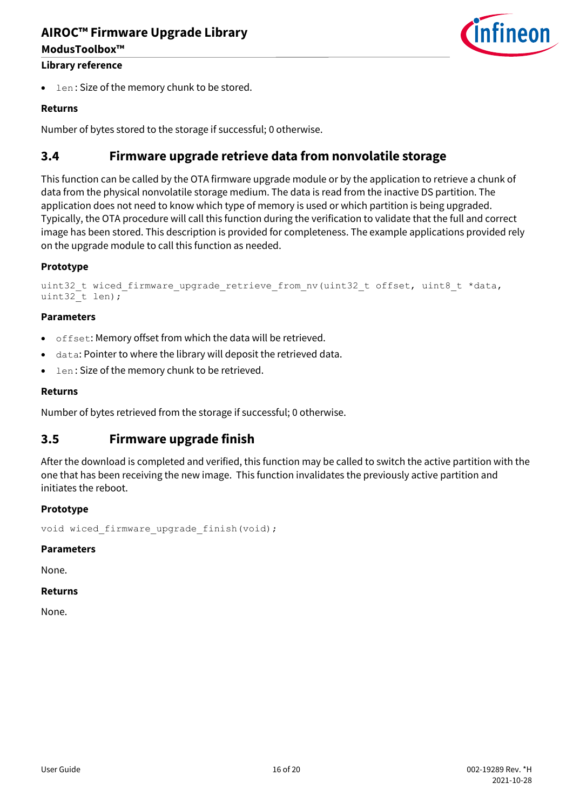# **AIROC™ Firmware Upgrade Library ModusToolbox™**



## **Library reference**

len: Size of the memory chunk to be stored.

## **Returns**

Number of bytes stored to the storage if successful; 0 otherwise.

## <span id="page-15-0"></span>**3.4 Firmware upgrade retrieve data from nonvolatile storage**

This function can be called by the OTA firmware upgrade module or by the application to retrieve a chunk of data from the physical nonvolatile storage medium. The data is read from the inactive DS partition. The application does not need to know which type of memory is used or which partition is being upgraded. Typically, the OTA procedure will call this function during the verification to validate that the full and correct image has been stored. This description is provided for completeness. The example applications provided rely on the upgrade module to call this function as needed.

### **Prototype**

```
uint32 t wiced firmware upgrade retrieve from nv(uint32 t offset, uint8 t *data,
uint32_t len);
```
#### **Parameters**

- offset: Memory offset from which the data will be retrieved.
- data: Pointer to where the library will deposit the retrieved data.
- len : Size of the memory chunk to be retrieved.

#### **Returns**

Number of bytes retrieved from the storage if successful; 0 otherwise.

## <span id="page-15-1"></span>**3.5 Firmware upgrade finish**

After the download is completed and verified, this function may be called to switch the active partition with the one that has been receiving the new image. This function invalidates the previously active partition and initiates the reboot.

#### **Prototype**

```
void wiced firmware upgrade finish(void);
```
#### **Parameters**

None.

#### **Returns**

None.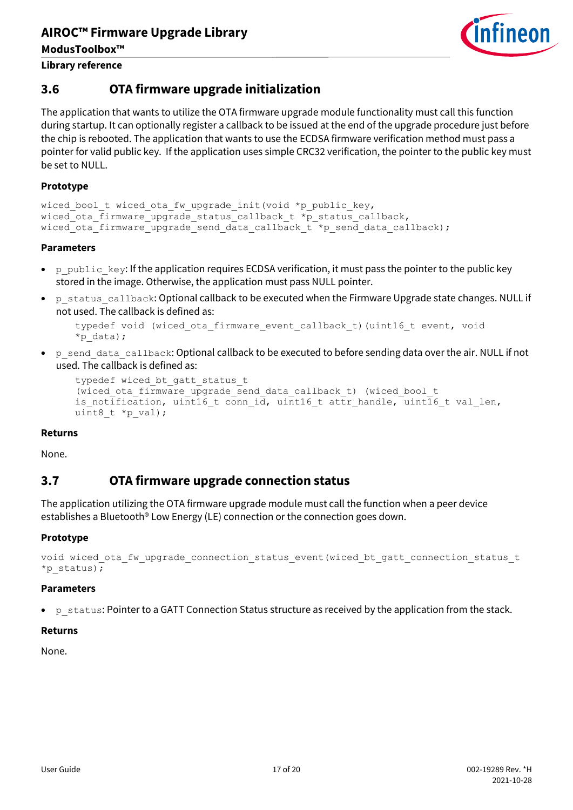

**Library reference**

## <span id="page-16-0"></span>**3.6 OTA firmware upgrade initialization**

The application that wants to utilize the OTA firmware upgrade module functionality must call this function during startup. It can optionally register a callback to be issued at the end of the upgrade procedure just before the chip is rebooted. The application that wants to use the ECDSA firmware verification method must pass a pointer for valid public key. If the application uses simple CRC32 verification, the pointer to the public key must be set to NULL.

## **Prototype**

```
wiced bool t wiced ota fw upgrade init(void *p_public_key,
wiced ota firmware upgrade status callback t * p status callback,
wiced ota firmware upgrade send data callback t *p_send_data_callback);
```
## **Parameters**

- p\_public\_key: If the application requires ECDSA verification, it must pass the pointer to the public key stored in the image. Otherwise, the application must pass NULL pointer.
- p\_status\_callback: Optional callback to be executed when the Firmware Upgrade state changes. NULL if not used. The callback is defined as:

```
typedef void (wiced ota firmware event callback t) (uint16 t event, void
*p_data);
```
• p\_send\_data\_callback: Optional callback to be executed to before sending data over the air. NULL if not used. The callback is defined as:

```
typedef wiced bt gatt status t
(wiced ota firmware upgrade send data callback t) (wiced bool t
is notification, uint16 t conn id, uint16 t attr handle, uint16 t val len,
uint8 t *p_val);
```
## **Returns**

None.

## <span id="page-16-1"></span>**3.7 OTA firmware upgrade connection status**

The application utilizing the OTA firmware upgrade module must call the function when a peer device establishes a Bluetooth® Low Energy (LE) connection or the connection goes down.

## **Prototype**

```
void wiced ota fw upgrade connection status event(wiced bt gatt connection status t
*p_status);
```
#### **Parameters**

p\_status: Pointer to a GATT Connection Status structure as received by the application from the stack.

#### **Returns**

None.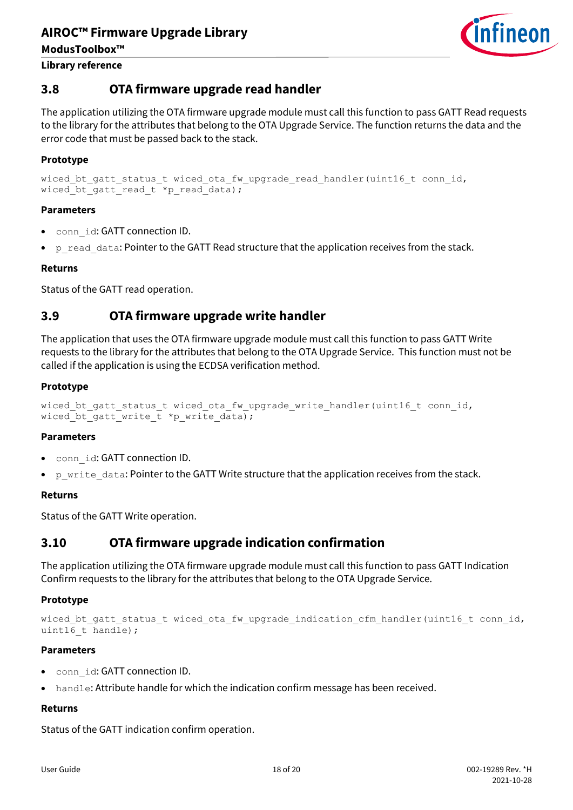

#### **Library reference**

## <span id="page-17-0"></span>**3.8 OTA firmware upgrade read handler**

The application utilizing the OTA firmware upgrade module must call this function to pass GATT Read requests to the library for the attributes that belong to the OTA Upgrade Service. The function returns the data and the error code that must be passed back to the stack.

## **Prototype**

```
wiced bt gatt status t wiced ota fw upgrade read handler(uint16 t conn id,
wiced bt gatt read t *p_read data);
```
### **Parameters**

- conn\_id: GATT connection ID.
- p read data: Pointer to the GATT Read structure that the application receives from the stack.

### **Returns**

Status of the GATT read operation.

## <span id="page-17-1"></span>**3.9 OTA firmware upgrade write handler**

The application that uses the OTA firmware upgrade module must call this function to pass GATT Write requests to the library for the attributes that belong to the OTA Upgrade Service. This function must not be called if the application is using the ECDSA verification method.

### **Prototype**

```
wiced bt gatt status t wiced ota fw upgrade write handler(uint16 t conn id,
wiced bt gatt write t *p write data);
```
#### **Parameters**

- conn id: GATT connection ID.
- p write data: Pointer to the GATT Write structure that the application receives from the stack.

#### **Returns**

Status of the GATT Write operation.

## <span id="page-17-2"></span>**3.10 OTA firmware upgrade indication confirmation**

The application utilizing the OTA firmware upgrade module must call this function to pass GATT Indication Confirm requests to the library for the attributes that belong to the OTA Upgrade Service.

## **Prototype**

```
wiced bt gatt status t wiced ota fw upgrade indication cfm handler(uint16 t conn id,
uint16 t handle);
```
#### **Parameters**

- conn\_id: GATT connection ID.
- handle: Attribute handle for which the indication confirm message has been received.

## **Returns**

Status of the GATT indication confirm operation.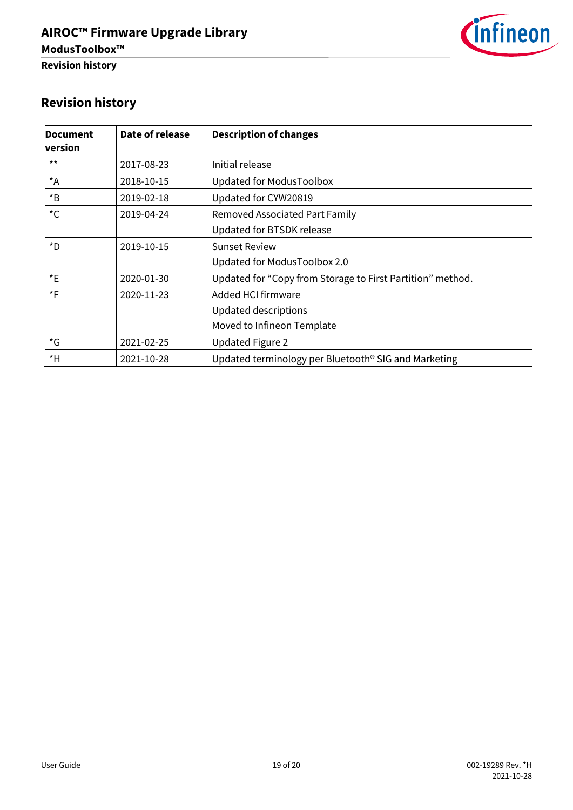

# <span id="page-18-0"></span>**Revision history**

| <b>Document</b><br>version | Date of release | <b>Description of changes</b>                                    |
|----------------------------|-----------------|------------------------------------------------------------------|
| $***$                      | 2017-08-23      | Initial release                                                  |
| $^{\star}$ A               | 2018-10-15      | Updated for ModusToolbox                                         |
| $*_{\mathsf{B}}$           | 2019-02-18      | Updated for CYW20819                                             |
| $^{\star}$ C               | 2019-04-24      | <b>Removed Associated Part Family</b>                            |
|                            |                 | Updated for BTSDK release                                        |
| *D                         | 2019-10-15      | <b>Sunset Review</b>                                             |
|                            |                 | Updated for ModusToolbox 2.0                                     |
| $*_{E}$                    | 2020-01-30      | Updated for "Copy from Storage to First Partition" method.       |
| $*_{F}$                    | 2020-11-23      | Added HCI firmware                                               |
|                            |                 | Updated descriptions                                             |
|                            |                 | Moved to Infineon Template                                       |
| $\star$ G                  | 2021-02-25      | <b>Updated Figure 2</b>                                          |
| $*H$                       | 2021-10-28      | Updated terminology per Bluetooth <sup>®</sup> SIG and Marketing |